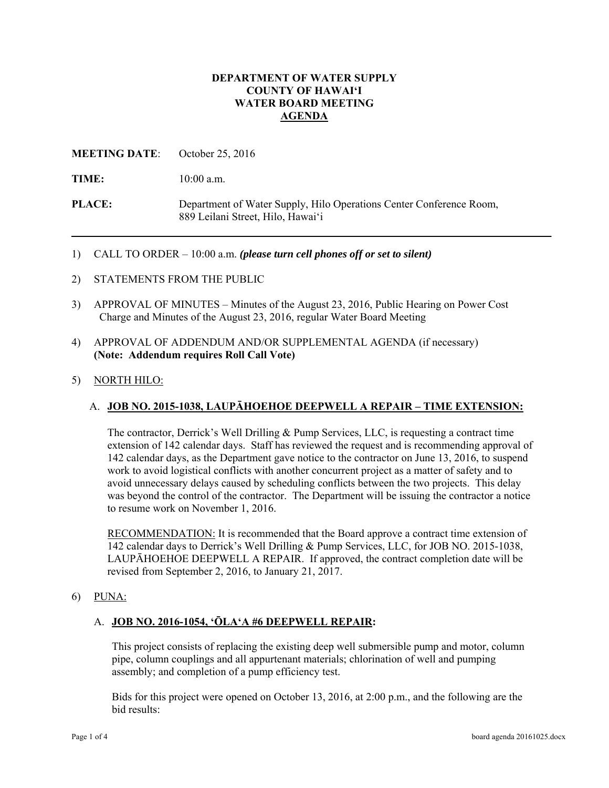### **DEPARTMENT OF WATER SUPPLY COUNTY OF HAWAI'I WATER BOARD MEETING AGENDA**

## **MEETING DATE**: October 25, 2016

TIME:  $10:00$  a.m.

**PLACE:** Department of Water Supply, Hilo Operations Center Conference Room, 889 Leilani Street, Hilo, Hawai'i

- 1) CALL TO ORDER 10:00 a.m. *(please turn cell phones off or set to silent)*
- 2) STATEMENTS FROM THE PUBLIC
- 3) APPROVAL OF MINUTES Minutes of the August 23, 2016, Public Hearing on Power Cost Charge and Minutes of the August 23, 2016, regular Water Board Meeting
- 4) APPROVAL OF ADDENDUM AND/OR SUPPLEMENTAL AGENDA (if necessary) **(Note: Addendum requires Roll Call Vote)**

### 5) NORTH HILO:

### A. **JOB NO. 2015-1038, LAUPĀHOEHOE DEEPWELL A REPAIR – TIME EXTENSION:**

The contractor, Derrick's Well Drilling & Pump Services, LLC, is requesting a contract time extension of 142 calendar days. Staff has reviewed the request and is recommending approval of 142 calendar days, as the Department gave notice to the contractor on June 13, 2016, to suspend work to avoid logistical conflicts with another concurrent project as a matter of safety and to avoid unnecessary delays caused by scheduling conflicts between the two projects. This delay was beyond the control of the contractor. The Department will be issuing the contractor a notice to resume work on November 1, 2016.

RECOMMENDATION: It is recommended that the Board approve a contract time extension of 142 calendar days to Derrick's Well Drilling & Pump Services, LLC, for JOB NO. 2015-1038, LAUPĀHOEHOE DEEPWELL A REPAIR. If approved, the contract completion date will be revised from September 2, 2016, to January 21, 2017.

6) PUNA:

#### A. **JOB NO. 2016-1054, 'ŌLA'A #6 DEEPWELL REPAIR:**

This project consists of replacing the existing deep well submersible pump and motor, column pipe, column couplings and all appurtenant materials; chlorination of well and pumping assembly; and completion of a pump efficiency test.

Bids for this project were opened on October 13, 2016, at 2:00 p.m., and the following are the bid results: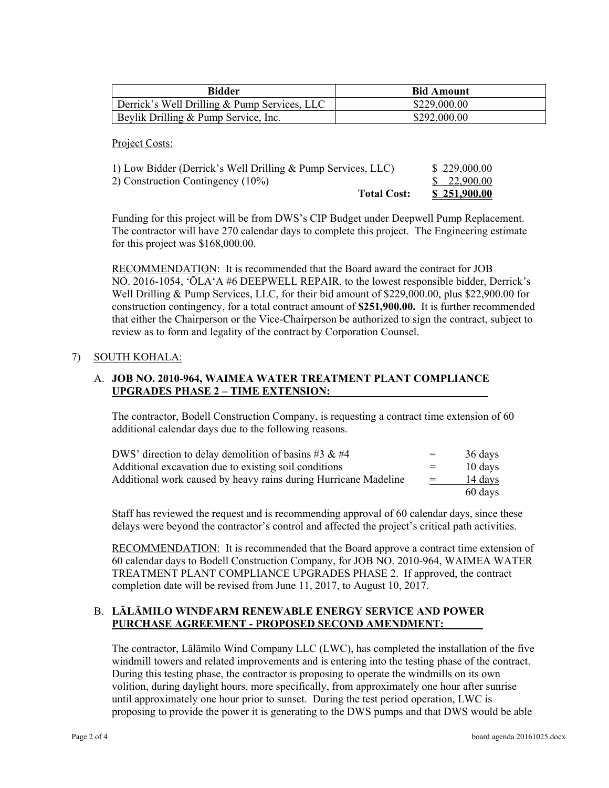| <b>Bidder</b>                                | <b>Bid Amount</b> |
|----------------------------------------------|-------------------|
| Derrick's Well Drilling & Pump Services, LLC | \$229,000.00      |
| Beylik Drilling & Pump Service, Inc.         | \$292,000.00      |

Project Costs:

| 1) Low Bidder (Derrick's Well Drilling & Pump Services, LLC) | \$229,000.00        |
|--------------------------------------------------------------|---------------------|
| 2) Construction Contingency (10%)                            | \$ 22,900.00        |
| <b>Total Cost:</b>                                           | <u>\$251,900.00</u> |

Funding for this project will be from DWS's CIP Budget under Deepwell Pump Replacement. The contractor will have 270 calendar days to complete this project. The Engineering estimate for this project was \$168,000.00.

RECOMMENDATION: It is recommended that the Board award the contract for JOB NO. 2016-1054, ʻŌLAʻA #6 DEEPWELL REPAIR, to the lowest responsible bidder, Derrick's Well Drilling & Pump Services, LLC, for their bid amount of \$229,000.00, plus \$22,900.00 for construction contingency, for a total contract amount of **\$251,900.00.** It is further recommended that either the Chairperson or the Vice-Chairperson be authorized to sign the contract, subject to review as to form and legality of the contract by Corporation Counsel.

## 7) SOUTH KOHALA:

## A. **JOB NO. 2010-964, WAIMEA WATER TREATMENT PLANT COMPLIANCE UPGRADES PHASE 2 – TIME EXTENSION:**

The contractor, Bodell Construction Company, is requesting a contract time extension of 60 additional calendar days due to the following reasons.

| DWS' direction to delay demolition of basins #3 & #4            | $=$ | 36 days |  |
|-----------------------------------------------------------------|-----|---------|--|
| Additional excavation due to existing soil conditions           | $=$ | 10 days |  |
| Additional work caused by heavy rains during Hurricane Madeline | $=$ | 14 days |  |
|                                                                 |     | 60 days |  |

Staff has reviewed the request and is recommending approval of 60 calendar days, since these delays were beyond the contractor's control and affected the project's critical path activities.

RECOMMENDATION: It is recommended that the Board approve a contract time extension of 60 calendar days to Bodell Construction Company, for JOB NO. 2010-964, WAIMEA WATER TREATMENT PLANT COMPLIANCE UPGRADES PHASE 2. If approved, the contract completion date will be revised from June 11, 2017, to August 10, 2017.

## B. **LĀLĀMILO WINDFARM RENEWABLE ENERGY SERVICE AND POWER PURCHASE AGREEMENT - PROPOSED SECOND AMENDMENT:**

The contractor, Lālāmilo Wind Company LLC (LWC), has completed the installation of the five windmill towers and related improvements and is entering into the testing phase of the contract. During this testing phase, the contractor is proposing to operate the windmills on its own volition, during daylight hours, more specifically, from approximately one hour after sunrise until approximately one hour prior to sunset. During the test period operation, LWC is proposing to provide the power it is generating to the DWS pumps and that DWS would be able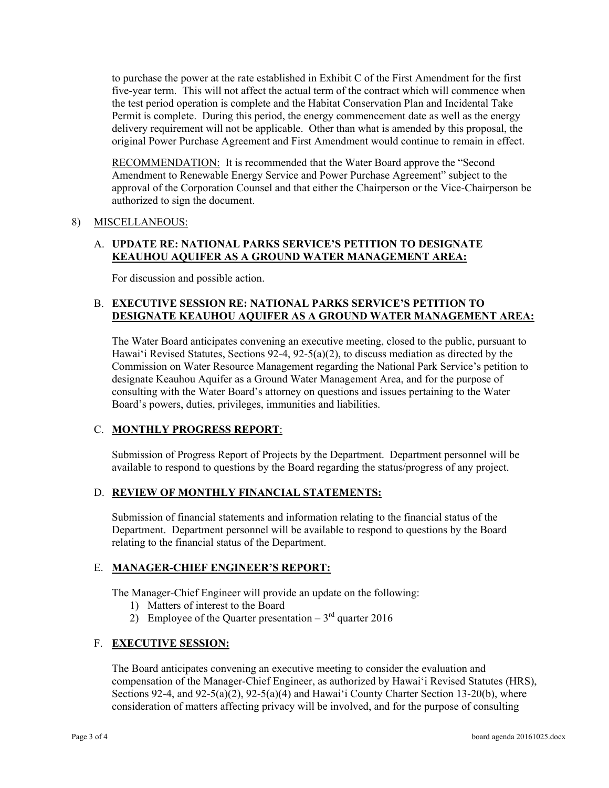to purchase the power at the rate established in Exhibit C of the First Amendment for the first five-year term. This will not affect the actual term of the contract which will commence when the test period operation is complete and the Habitat Conservation Plan and Incidental Take Permit is complete. During this period, the energy commencement date as well as the energy delivery requirement will not be applicable. Other than what is amended by this proposal, the original Power Purchase Agreement and First Amendment would continue to remain in effect.

**RECOMMENDATION:** It is recommended that the Water Board approve the "Second" Amendment to Renewable Energy Service and Power Purchase Agreement" subject to the approval of the Corporation Counsel and that either the Chairperson or the Vice-Chairperson be authorized to sign the document.

## 8) MISCELLANEOUS:

# A. **UPDATE RE: NATIONAL PARKS SERVICE'S PETITION TO DESIGNATE KEAUHOU AQUIFER AS A GROUND WATER MANAGEMENT AREA:**

For discussion and possible action.

## B. **EXECUTIVE SESSION RE: NATIONAL PARKS SERVICE'S PETITION TO DESIGNATE KEAUHOU AQUIFER AS A GROUND WATER MANAGEMENT AREA:**

The Water Board anticipates convening an executive meeting, closed to the public, pursuant to Hawai'i Revised Statutes, Sections 92-4, 92-5(a)(2), to discuss mediation as directed by the Commission on Water Resource Management regarding the National Park Service's petition to designate Keauhou Aquifer as a Ground Water Management Area, and for the purpose of consulting with the Water Board's attorney on questions and issues pertaining to the Water Board's powers, duties, privileges, immunities and liabilities.

# C. **MONTHLY PROGRESS REPORT**:

Submission of Progress Report of Projects by the Department. Department personnel will be available to respond to questions by the Board regarding the status/progress of any project.

# D. **REVIEW OF MONTHLY FINANCIAL STATEMENTS:**

Submission of financial statements and information relating to the financial status of the Department. Department personnel will be available to respond to questions by the Board relating to the financial status of the Department.

### E. **MANAGER-CHIEF ENGINEER'S REPORT:**

The Manager-Chief Engineer will provide an update on the following:

- 1) Matters of interest to the Board
- 2) Employee of the Quarter presentation  $3<sup>rd</sup>$  quarter 2016

### F. **EXECUTIVE SESSION:**

The Board anticipates convening an executive meeting to consider the evaluation and compensation of the Manager-Chief Engineer, as authorized by Hawai'i Revised Statutes (HRS), Sections 92-4, and 92-5(a)(2), 92-5(a)(4) and Hawai'i County Charter Section 13-20(b), where consideration of matters affecting privacy will be involved, and for the purpose of consulting